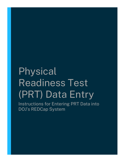# Physical Readiness Test (PRT) Data Entry

Instructions for Entering PRT Data into DOJ's REDCap System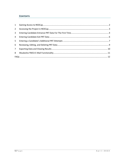## **CONTENTS**

| $1 \quad$      |  |
|----------------|--|
| $2^{\circ}$    |  |
| 3 <sup>1</sup> |  |
| 4              |  |
| 5 <sub>1</sub> |  |
| 6              |  |
| 7 <sup>7</sup> |  |
| 8              |  |
|                |  |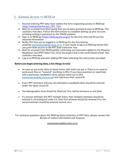# <span id="page-2-0"></span>1 GAINING ACCESS TO REDCAP

- 1. Anyone entering PRT data must submit this form requesting access to REDCap: [https://redcap.link/Access\\_PRT\\_Tool](https://redcap.link/Access_PRT_Tool)
- 2. Wait for an email from DOJ saying that you've been granted access to REDCap. *This could be a few days.* Follow the instructions to complete setting up your account, including setting a password on the TRAIN website.
- 3. Sign-in to REDCap [\(https://datacap.doj.wi.gov\)](https://datacap.doj.wi.gov/) for the first time and fill out the required information.
- 4. Notify DOJ that you've logged in to REDCap for the first time by emailing [statsanalysis@doj.state.wi.us.](mailto:statsanalysis@doj.state.wi.us) *A user needs to log in to REDCap before DOJ can grant them access to the PRT Data Collection Tool.*
- 5. Wait for an email from REDCap/DOJ confirming you have been added to the Physical Readiness Test (PRT) Data Tool. Click the project link in the confirmation email. *This could be a few days.*
- 6. Log in to REDCap and start adding PRT Data following the instructions provided.

## **Before you begin entering data, a few things to note:**

- As soon as you enter data on these forms, DOJ staff can see it. There is no need to send excel files or "transmit" anything to DOJ. If you have questions or need help with a particular candidate's form, please reach out to DOJ [\(statsanalysis@doj.state.wi.us\)](mailto:statsanalysis@doj.state.wi.us) and reference their record ID.
- Every PRT (entrance and exit, all attempts) a candidate does should be entered under the same record ID.
- The demographic form should be filled out first, before entrance or exit data.
- If a person attempts the PRT multiple times, their multiple attempts should be entered in chronological order (i.e. their first attempt should be entered first, the second attempt should be entered second, etc.).

For technical questions about the REDCap Data Collection of PRT Data, please contact the Bureau of Justice Information and Analysis:

[statsanalysis@doj.state.wi.us](mailto:statsanalysis@doj.state.wi.us)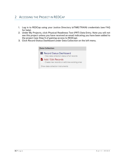## <span id="page-3-0"></span>2 ACCESSING THE PROJECT IN REDCAP

- 1. Log in to REDCap using your Justice Directory (eTIME/TRAIN) credentials (see FAQ for help).
- 2. Under My Projects, click Physical Readiness Test (PRT) Data Entry. Note you will not see this project unless you have received an email indicating you have been added to the project (see Step 5 of gaining access to REDCap).
- 3. Click Record Status Dashboard under Data Collection on the left menu.

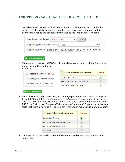## <span id="page-4-0"></span>3 ENTERING CANDIDATE ENTRANCE PRT DATA FOR THE FIRST TIME

1. Your dashboard will show all PRT records across all locations. First, find if the person has already been entered into the system by reviewing names in the dashboard. Change the dashboard displayed to the Alpha Order if needed.



## + Add new record

2. If the person is not yet in REDCap, click Add new record, and click the Candidate Demo radio button under the

Status column.

| Dashboard displayed: [Defar   | <b>Data Collection Instrument</b> | <b>Status</b>   |
|-------------------------------|-----------------------------------|-----------------|
| Displaying Data Access Group  | Candidate Demo                    | œ               |
|                               | PRT Candidate Entrance Data       | œ               |
| Displaying record   Page 1 of | <b>PRT Candidate Exit Data</b>    | <b>Contract</b> |
|                               |                                   |                 |

+ Add new record

- 3. Enter the candidate's name, DOB, and demographic information. Use the dropdown to switch "Complete?" from "incomplete" to "complete". Save and exit the form.
- 4. Click the PRT Candidate Entrance Data Status radio button. Fill out the entrance PRT form. Switch the "Complete?" dropdown to "complete". Save and exit the form. Note that there is no "Submit" button; saving the form makes it visible to DOJ staff.

| <b>Data Collection Instrument</b>  | <b>Status</b> |
|------------------------------------|---------------|
| Candidate Demo                     |               |
| <b>PRT Candidate Entrance Data</b> |               |
| <b>PRT Candidate Exit Data</b>     |               |
| DOJ Check                          |               |

5. Click Record Status Dashboard on the left menu and repeat steps 2-4 for other candidates.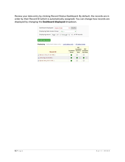Review your data entry by clicking Record Status Dashboard. By default, the records are in order by their Record ID (which is automatically assigned). You can change how records are displayed by changing the **Dashboard displayed** dropdown.

| Dashboard displayed:<br>Alpha Order<br>Displaying Data Access Group    ALL      | Modify<br>$\checkmark$ |                                                    |                                             |
|---------------------------------------------------------------------------------|------------------------|----------------------------------------------------|---------------------------------------------|
| Page 1 of 1: "2" through "12" v of 17 records<br>Displaying record              |                        |                                                    |                                             |
| + Add new record                                                                |                        |                                                    |                                             |
| <b>Displaying:</b> Instrument status only   Lock status only   All status types |                        |                                                    |                                             |
| <b>Record ID</b>                                                                | Candidate<br>Demo      | <b>PRT</b><br>Candidate<br><b>Entrance</b><br>Data | <b>PRT</b><br>Candidate<br><b>Exit Data</b> |
| 2 (Benson, Olivia, 01-25-1980, )                                                |                        |                                                    |                                             |
| 11 (Bird, Big, 02-28-2000, )                                                    |                        | $+$                                                | $+$                                         |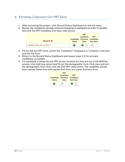# <span id="page-6-0"></span>4 ENTERING CANDIDATE EXIT PRT DATA

- 1. After accessing the project, click Record Status Dashboard on the left menu.
- 2. Review the candidates already entered (changing to alphabetical order if needed) and click the PRT Candidate Exit Data radio button.

| <b>Record ID</b>                  | Demo      | <b>PRT</b><br>Candidate<br>Candidate Entrance Candidate<br>Data | <b>PRT</b><br><b>Exit Data</b> |
|-----------------------------------|-----------|-----------------------------------------------------------------|--------------------------------|
| 1 (Stabler, Elliot, 05-15-1975, ) | $\bullet$ | $\bigcirc$ +                                                    | $\bigcirc$                     |

- 3. Fill out the exit PRT form, switch the "Complete?" dropdown to "complete" and save and exit the form.
- 4. Return to the Record Status Dashboard and repeat steps 2-3 for as many candidates as needed.
- 5. If a candidate is doing the exit PRT at your location but they are not in the REDCap system, click Add new record and fill out the demographic form. Click save and exit the demographic form, then click the Exit PRT radio button. The candidate should have a green Demo form and a green Exit form, but a grey Entrance form.

| Candidate<br>Demo | <b>PRT</b><br><b>Candidate</b><br>Data | <b>PRT</b><br><b>Entrance Candidate</b><br><b>Exit Data</b> |
|-------------------|----------------------------------------|-------------------------------------------------------------|
|                   |                                        |                                                             |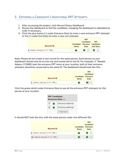# <span id="page-7-0"></span>5 ENTERING A CANDIDATE'S ADDITIONAL PRT ATTEMPTS

- 1. After accessing the project, click Record Status Dashboard.
- 2. Review the dashboard to find the candidate, changing the dashboard to alphabetical order if necessary.
- 3. Click the plus button [+] under Entrance Data (to enter a new entrance PRT attempt) or the [+] under Exit Data (to enter a new exit attempt).

| <b>Record ID</b>                | <b>Demo</b> | <b>PRT</b><br>Candidate<br>Candidate Entrance Candidate<br>Data | <b>PRT</b><br><b>Exit Data</b> |
|---------------------------------|-------------|-----------------------------------------------------------------|--------------------------------|
| 8 (Adams, Sample, 01-01-1995, ) | $\bullet$   |                                                                 |                                |

Note: Please do not create a new record for the same person. Each person on your dashboard should only be on one row and connected to one ID. For example, if "Sample Adams 1/1/1995) took the entrance PRT twice at your location, both of their entrance attempts should be connected to the same ID. The dashboard should look like this:



Click the green dot(s) under Entrance Data to see all the entrance PRT attempts for this person at your location:



It should NOT look like this, with the same person under two different IDs:

| <b>Record ID</b>                | Candidate<br>Demo | <b>PRT</b><br>Candidate<br><b>Entrance</b><br>Data |
|---------------------------------|-------------------|----------------------------------------------------|
| 8 (Adams, Sample, 01-01-1995, ) |                   | $^{+}$                                             |
| 18 (Adams, Sample, 01-01-1995,) |                   |                                                    |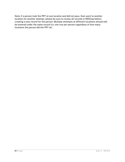Note: if a person took the PRT at one location and did not pass, then went to another location for another attempt, please be sure to review all records in REDCap before creating a new record for the person. Multiple attempts at different locations should still be entered under the same record (i.e. one row per person regardless of how many locations the person did the PRT at).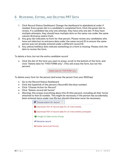## <span id="page-9-0"></span>6 REVIEWING, EDITING, AND DELETING PRT DATA

- 1. Click Record Status Dashboard. Change the dashboard to alphabetical order if needed. Every green dot is a candidate's completed form. Click the green dot to review. If a candidate has only one attempt, they have only one dot. If they have multiple attempts, they should have multiple dots on the same row under the same column (Entrance and/or Exit).
- 2. Any grey dot indicates no form for that person. Please review any candidates who have exit data but no entrance data under the same record ID to ensure the same person was not already entered under a different record ID.
- 3. Any yellow/red/blue dots indicate something on a form is missing. Please click the dots to review the form.

#### *To delete a form, but not the entire candidate record:*

• Click the dot of the form you want to erase, scroll to the bottom of the form, and click "Delete data for THIS FORM only". (This will erase the form, but not the person).

Delete data for THIS FORM only

*To delete every form for the person (and erase the person from your REDCap):*

- Go to the Record Status Dashboard
- Click the hyperlink of the person's RecordID (the blue number)
- Click "Choose Action for Record"
- Click "Delete record (all forms)"
- Warning: this erases everything about this ID (this person), including all their forms attached to that ID number. This might be necessary if the person has accidentally been entered twice under two IDs but should otherwise never be necessary.



Download PDF of record data for all instruments

Download PDF of record data for all instruments (compact)

Assign to Data Access Group

**≠** Rename record

X Delete record (all forms)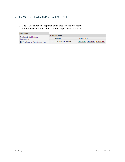# <span id="page-10-0"></span>7 EXPORTING DATA AND VIEWING RESULTS

- 1. Click "Data Exports, Reports, and Stats" on the left menu
- 2. Select to view tables, charts, and to export raw data files

| <b>Applications</b>                         |                                   |                                                           |
|---------------------------------------------|-----------------------------------|-----------------------------------------------------------|
| Alerts & Notifications                      | My Reports & Exports              |                                                           |
| □ Calendar                                  | Report name                       | <b>View/Export Options</b>                                |
| <b>B</b> + Data Exports, Reports, and Stats | All data (all records and fields) | <b>B</b> Export Data<br>画 Stats & Charts<br>Q View Report |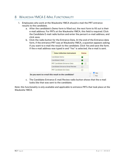# <span id="page-11-0"></span>8 WAUKESHA YMCA E-MAIL FUNCTIONALITY

- 1. Employees who work at the Waukesha YMCA should e-mail the PRT entrance results to the candidate.
	- a. After the candidate's Demo form is filled out, the next form to fill out is their e-mail address. For PRTs at the Waukesha YMCA, this field is required. Click the Candidate E-mail radio button and enter the person's e-mail address, and click save.
	- b. Click the radio button for the Entrance Data. At the end of the Entrance data form, if the entrance PRT was at Waukesha YMCA, a question appears asking if you want to e-mail the result to the candidate. Click Yes and save the form. If the e-mail address was typed in and "Yes" is selected, the e-mail is sent.

| <b>Data Collection Instrument</b>                   | <b>Status</b> |       |
|-----------------------------------------------------|---------------|-------|
| Candidate Demo                                      |               |       |
| Candidate E-Mail                                    |               |       |
| PRT Candidate Entrance Data                         | $+$           |       |
| Candidate Entrance Email Review                     |               |       |
| <b>PRT Candidate Exit Data</b>                      |               |       |
| Do you want to e-mail this result to the candidate? |               | D Yes |

c. The Candidate Entrance E-mail Review radio button shows that the e-mail looks like that was sent to the candidate.

*Note: this functionality is only available and applicable to entrance PRTs that took place at the Waukesha YMCA.*